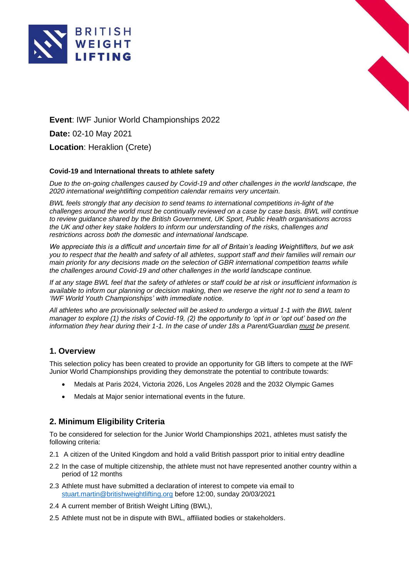



**Event**: IWF Junior World Championships 2022 **Date:** 02-10 May 2021 **Location**: Heraklion (Crete)

### **Covid-19 and International threats to athlete safety**

*Due to the on-going challenges caused by Covid-19 and other challenges in the world landscape, the 2020 international weightlifting competition calendar remains very uncertain.*

*BWL feels strongly that any decision to send teams to international competitions in-light of the challenges around the world must be continually reviewed on a case by case basis. BWL will continue to review guidance shared by the British Government, UK Sport, Public Health organisations across the UK and other key stake holders to inform our understanding of the risks, challenges and restrictions across both the domestic and international landscape.*

*We appreciate this is a difficult and uncertain time for all of Britain's leading Weightlifters, but we ask you to respect that the health and safety of all athletes, support staff and their families will remain our main priority for any decisions made on the selection of GBR international competition teams while the challenges around Covid-19 and other challenges in the world landscape continue.*

*If at any stage BWL feel that the safety of athletes or staff could be at risk or insufficient information is available to inform our planning or decision making, then we reserve the right not to send a team to 'IWF World Youth Championships' with immediate notice.*

*All athletes who are provisionally selected will be asked to undergo a virtual 1-1 with the BWL talent manager to explore (1) the risks of Covid-19, (2) the opportunity to 'opt in or 'opt out' based on the information they hear during their 1-1. In the case of under 18s a Parent/Guardian must be present.*

## **1. Overview**

This selection policy has been created to provide an opportunity for GB lifters to compete at the IWF Junior World Championships providing they demonstrate the potential to contribute towards:

- Medals at Paris 2024, Victoria 2026, Los Angeles 2028 and the 2032 Olympic Games
- Medals at Major senior international events in the future.

# **2. Minimum Eligibility Criteria**

To be considered for selection for the Junior World Championships 2021, athletes must satisfy the following criteria:

- 2.1 A citizen of the United Kingdom and hold a valid British passport prior to initial entry deadline
- 2.2 In the case of multiple citizenship, the athlete must not have represented another country within a period of 12 months
- 2.3 Athlete must have submitted a declaration of interest to compete via email to [stuart.martin@britishweightlifting.org](mailto:stuart.martin@britishweightlifting.org) before 12:00, sunday 20/03/2021
- 2.4 A current member of British Weight Lifting (BWL),
- 2.5 Athlete must not be in dispute with BWL, affiliated bodies or stakeholders.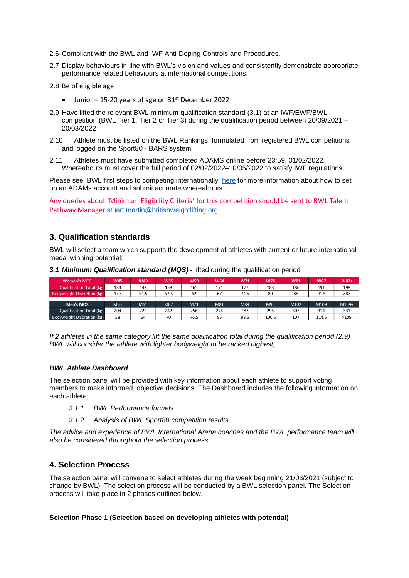- 2.6 Compliant with the BWL and IWF Anti-Doping Controls and Procedures.
- 2.7 Display behaviours in-line with BWL's vision and values and consistently demonstrate appropriate performance related behaviours at international competitions.
- 2.8 Be of eligible age
	- Junior  $-15-20$  years of age on  $31<sup>st</sup>$  December 2022
- 2.9 Have lifted the relevant BWL minimum qualification standard (3.1) at an IWF/EWF/BWL competition (BWL Tier 1, Tier 2 or Tier 3) during the qualification period between 20/09/2021 – 20/03/2022
- 2.10 Athlete must be listed on the BWL Rankings, formulated from registered BWL competitions and logged on the Sport80 - BARS system
- 2.11 Athletes must have submitted completed ADAMS online before 23:59, 01/02/2022. Whereabouts must cover the full period of 02/02/2022–10/05/2022 to satisfy IWF regulations

Please see 'BWL first steps to competing internationally' [here](https://britishweightlifting.org/resources/first-steps-to-competing-internationally-071220094903.pdf) for more information about how to set up an ADAMs account and submit accurate whereabouts

Any queries about 'Minimum Eligibility Criteria' for this competition should be sent to BWL Talent Pathway Manager [stuart.martin@britishweightlifting.org](mailto:stuart.martin@britishweightlifting.org)

## **3. Qualification standards**

BWL will select a team which supports the development of athletes with current or future international medal winning potential;

| Women's MQS                     | <b>W45</b> | W49  | <b>W55</b> | <b>W59</b> | W64 | W71  | <b>W76</b> | W81  | <b>W87</b> | $W87+$ |
|---------------------------------|------------|------|------------|------------|-----|------|------------|------|------------|--------|
| <b>Qualification Total (kg)</b> | 133        | 142  | 158        | 165        | 171 | 177  | 183        | 186  | 191        | 198    |
| Bodyweight Discretion (kg)      | 47.5       | 51.5 | 57.5       | 62         | 67  | 74.5 | 80         | 85   | 91.5       | >87    |
|                                 |            |      |            |            |     |      |            |      |            |        |
| Men's MQS                       | M55        | M61  | M67        | M73        | M81 | M89  | M96        | M102 | M109       | M109+  |
| <b>Qualification Total (kg)</b> | 204        | 222  | 242        | 256        | 274 | 287  | 295        | 307  | 314        | 331    |
| Bodyweight Discretion (kg)      | 58         | 64   | 70         | 76.5       | 85  | 93.5 | 100.5      | 107  | 114.5      | >109   |

*3.1 Minimum Qualification standard (MQS) -* lifted during the qualification period

*If 2 athletes in the same category lift the same qualification total during the qualification period (2.9) BWL will consider the athlete with lighter bodyweight to be ranked highest,*

### *BWL Athlete Dashboard*

The selection panel will be provided with key information about each athlete to support voting members to make informed, objective decisions. The Dashboard includes the following information on each athlete;

- *3.1.1 BWL Performance funnels*
- *3.1.2 Analysis of BWL Sport80 competition results*

*The advice and experience of BWL International Arena coaches and the BWL performance team will also be considered throughout the selection process.*

## **4. Selection Process**

The selection panel will convene to select athletes during the week beginning 21/03/2021 (subject to change by BWL). The selection process will be conducted by a BWL selection panel. The Selection process will take place in 2 phases outlined below.

#### **Selection Phase 1 (Selection based on developing athletes with potential)**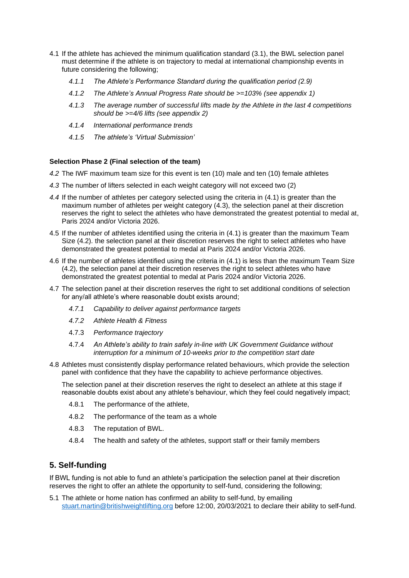- 4.1 If the athlete has achieved the minimum qualification standard (3.1), the BWL selection panel must determine if the athlete is on trajectory to medal at international championship events in future considering the following;
	- *4.1.1 The Athlete's Performance Standard during the qualification period (2.9)*
	- *4.1.2 The Athlete's Annual Progress Rate should be >=103% (see appendix 1)*
	- *4.1.3 The average number of successful lifts made by the Athlete in the last 4 competitions should be >=4/6 lifts (see appendix 2)*
	- *4.1.4 International performance trends*
	- *4.1.5 The athlete's 'Virtual Submission'*

### **Selection Phase 2 (Final selection of the team)**

- *4.2* The IWF maximum team size for this event is ten (10) male and ten (10) female athletes
- *4.3* The number of lifters selected in each weight category will not exceed two (2)
- *4.4* If the number of athletes per category selected using the criteria in (4.1) is greater than the maximum number of athletes per weight category (4.3), the selection panel at their discretion reserves the right to select the athletes who have demonstrated the greatest potential to medal at, Paris 2024 and/or Victoria 2026.
- 4.5 If the number of athletes identified using the criteria in (4.1) is greater than the maximum Team Size (4.2). the selection panel at their discretion reserves the right to select athletes who have demonstrated the greatest potential to medal at Paris 2024 and/or Victoria 2026.
- 4.6 If the number of athletes identified using the criteria in (4.1) is less than the maximum Team Size (4.2), the selection panel at their discretion reserves the right to select athletes who have demonstrated the greatest potential to medal at Paris 2024 and/or Victoria 2026.
- 4.7 The selection panel at their discretion reserves the right to set additional conditions of selection for any/all athlete's where reasonable doubt exists around;
	- *4.7.1 Capability to deliver against performance targets*
	- *4.7.2 Athlete Health & Fitness*
	- 4.7.3 *Performance trajectory*
	- 4.7.4 *An Athlete's ability to train safely in-line with UK Government Guidance without interruption for a minimum of 10-weeks prior to the competition start date*
- 4.8 Athletes must consistently display performance related behaviours, which provide the selection panel with confidence that they have the capability to achieve performance objectives.

The selection panel at their discretion reserves the right to deselect an athlete at this stage if reasonable doubts exist about any athlete's behaviour, which they feel could negatively impact;

- 4.8.1 The performance of the athlete,
- 4.8.2 The performance of the team as a whole
- 4.8.3 The reputation of BWL.
- 4.8.4 The health and safety of the athletes, support staff or their family members

# **5. Self-funding**

If BWL funding is not able to fund an athlete's participation the selection panel at their discretion reserves the right to offer an athlete the opportunity to self-fund, considering the following;

5.1 The athlete or home nation has confirmed an ability to self-fund, by emailing [stuart.martin@britishweightlifting.org](mailto:stuart.martin@britishweightlifting.org) before 12:00, 20/03/2021 to declare their ability to self-fund.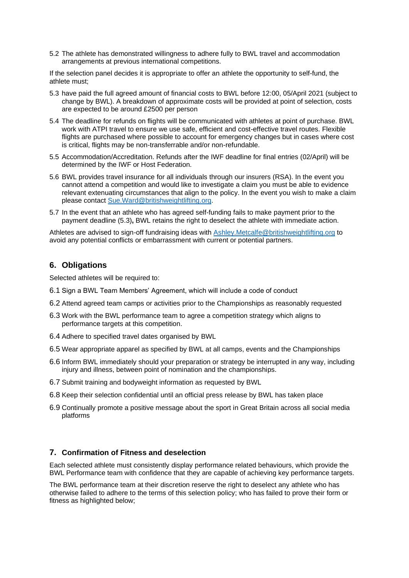5.2 The athlete has demonstrated willingness to adhere fully to BWL travel and accommodation arrangements at previous international competitions.

If the selection panel decides it is appropriate to offer an athlete the opportunity to self-fund, the athlete must;

- 5.3 have paid the full agreed amount of financial costs to BWL before 12:00, 05/April 2021 (subject to change by BWL). A breakdown of approximate costs will be provided at point of selection, costs are expected to be around £2500 per person
- 5.4 The deadline for refunds on flights will be communicated with athletes at point of purchase. BWL work with ATPI travel to ensure we use safe, efficient and cost-effective travel routes. Flexible flights are purchased where possible to account for emergency changes but in cases where cost is critical, flights may be non-transferrable and/or non-refundable.
- 5.5 Accommodation/Accreditation. Refunds after the IWF deadline for final entries (02/April) will be determined by the IWF or Host Federation.
- 5.6 BWL provides travel insurance for all individuals through our insurers (RSA). In the event you cannot attend a competition and would like to investigate a claim you must be able to evidence relevant extenuating circumstances that align to the policy. In the event you wish to make a claim please contact [Sue.Ward@britishweightlifting.org.](mailto:Sue.Ward@britishweightlifting.org)
- 5.7 In the event that an athlete who has agreed self-funding fails to make payment prior to the payment deadline (5.3)**,** BWL retains the right to deselect the athlete with immediate action.

Athletes are advised to sign-off fundraising ideas with [Ashley.Metcalfe@britishweightlifting.org](mailto:Ashley.Metcalfe@britishweightlifting.org) to avoid any potential conflicts or embarrassment with current or potential partners.

## **6. Obligations**

Selected athletes will be required to:

- 6.1 Sign a BWL Team Members' Agreement, which will include a code of conduct
- 6.2 Attend agreed team camps or activities prior to the Championships as reasonably requested
- 6.3 Work with the BWL performance team to agree a competition strategy which aligns to performance targets at this competition.
- 6.4 Adhere to specified travel dates organised by BWL
- 6.5 Wear appropriate apparel as specified by BWL at all camps, events and the Championships
- 6.6 Inform BWL immediately should your preparation or strategy be interrupted in any way, including injury and illness, between point of nomination and the championships.
- 6.7 Submit training and bodyweight information as requested by BWL
- 6.8 Keep their selection confidential until an official press release by BWL has taken place
- 6.9 Continually promote a positive message about the sport in Great Britain across all social media platforms

## **7. Confirmation of Fitness and deselection**

Each selected athlete must consistently display performance related behaviours, which provide the BWL Performance team with confidence that they are capable of achieving key performance targets.

The BWL performance team at their discretion reserve the right to deselect any athlete who has otherwise failed to adhere to the terms of this selection policy; who has failed to prove their form or fitness as highlighted below;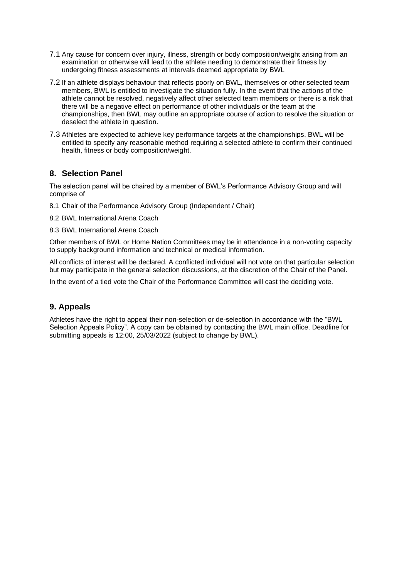- 7.1 Any cause for concern over injury, illness, strength or body composition/weight arising from an examination or otherwise will lead to the athlete needing to demonstrate their fitness by undergoing fitness assessments at intervals deemed appropriate by BWL
- 7.2 If an athlete displays behaviour that reflects poorly on BWL, themselves or other selected team members, BWL is entitled to investigate the situation fully. In the event that the actions of the athlete cannot be resolved, negatively affect other selected team members or there is a risk that there will be a negative effect on performance of other individuals or the team at the championships, then BWL may outline an appropriate course of action to resolve the situation or deselect the athlete in question.
- 7.3 Athletes are expected to achieve key performance targets at the championships, BWL will be entitled to specify any reasonable method requiring a selected athlete to confirm their continued health, fitness or body composition/weight.

# **8. Selection Panel**

The selection panel will be chaired by a member of BWL's Performance Advisory Group and will comprise of

8.1 Chair of the Performance Advisory Group (Independent / Chair)

8.2 BWL International Arena Coach

8.3 BWL International Arena Coach

Other members of BWL or Home Nation Committees may be in attendance in a non-voting capacity to supply background information and technical or medical information.

All conflicts of interest will be declared. A conflicted individual will not vote on that particular selection but may participate in the general selection discussions, at the discretion of the Chair of the Panel.

In the event of a tied vote the Chair of the Performance Committee will cast the deciding vote.

# **9. Appeals**

Athletes have the right to appeal their non-selection or de-selection in accordance with the "BWL Selection Appeals Policy". A copy can be obtained by contacting the BWL main office. Deadline for submitting appeals is 12:00, 25/03/2022 (subject to change by BWL).